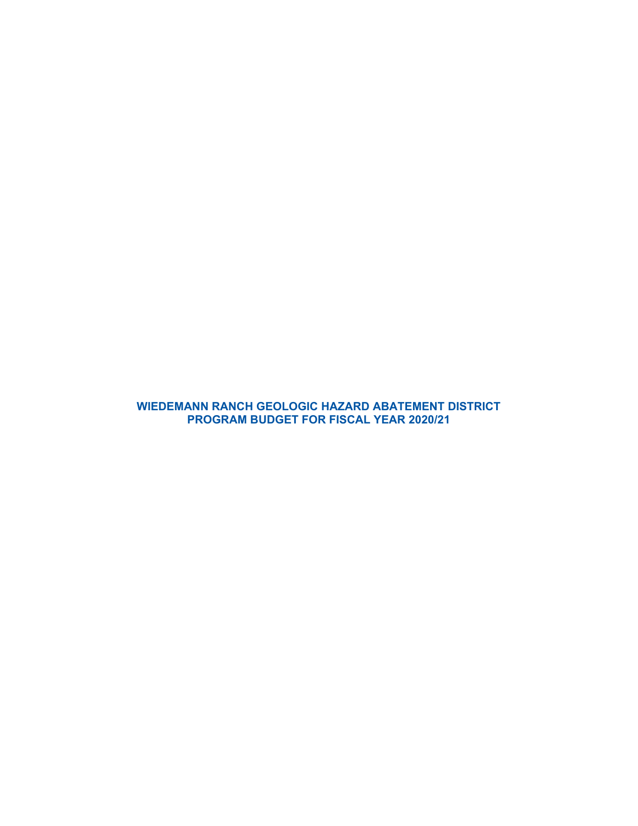**WIEDEMANN RANCH GEOLOGIC HAZARD ABATEMENT DISTRICT PROGRAM BUDGET FOR FISCAL YEAR 2020/21**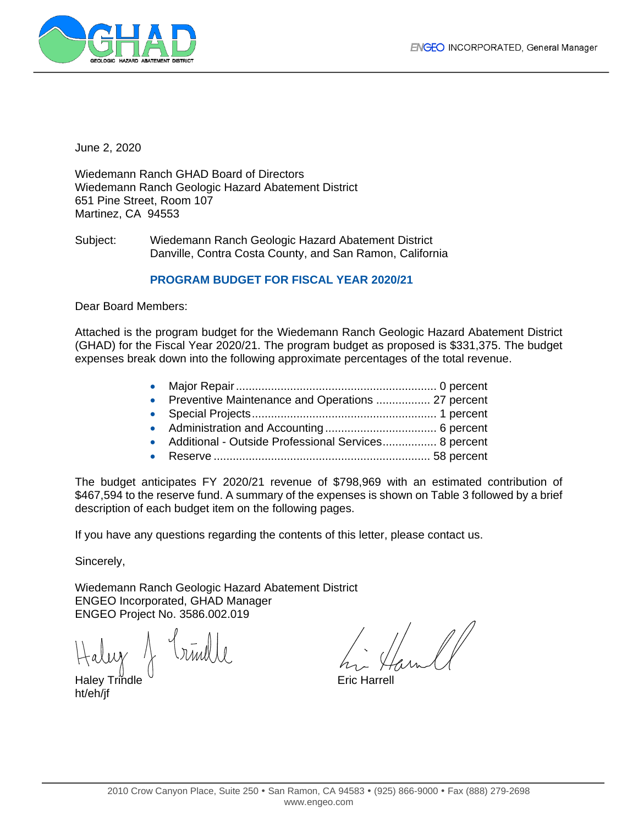

June 2, 2020

Wiedemann Ranch GHAD Board of Directors Wiedemann Ranch Geologic Hazard Abatement District 651 Pine Street, Room 107 Martinez, CA 94553

Subject: Wiedemann Ranch Geologic Hazard Abatement District Danville, Contra Costa County, and San Ramon, California

# **PROGRAM BUDGET FOR FISCAL YEAR 2020/21**

Dear Board Members:

Attached is the program budget for the Wiedemann Ranch Geologic Hazard Abatement District (GHAD) for the Fiscal Year 2020/21. The program budget as proposed is \$331,375. The budget expenses break down into the following approximate percentages of the total revenue.

- Major Repair............................................................... 0 percent
- **Preventive Maintenance and Operations ................ 27 percent**
- Special Projects.......................................................... 1 percent
- Administration and Accounting ................................... 6 percent
- Additional Outside Professional Services................. 8 percent
- Reserve .................................................................... 58 percent

The budget anticipates FY 2020/21 revenue of \$798,969 with an estimated contribution of \$467,594 to the reserve fund. A summary of the expenses is shown on Table 3 followed by a brief description of each budget item on the following pages.

If you have any questions regarding the contents of this letter, please contact us.

Sincerely,

Wiedemann Ranch Geologic Hazard Abatement District ENGEO Incorporated, GHAD Manager ENGEO Project No. 3586.002.019

 $Haluy \sim \frac{1}{2}$   $Imull$ 

ht/eh/jf

 $\frac{1}{\sqrt{2}}$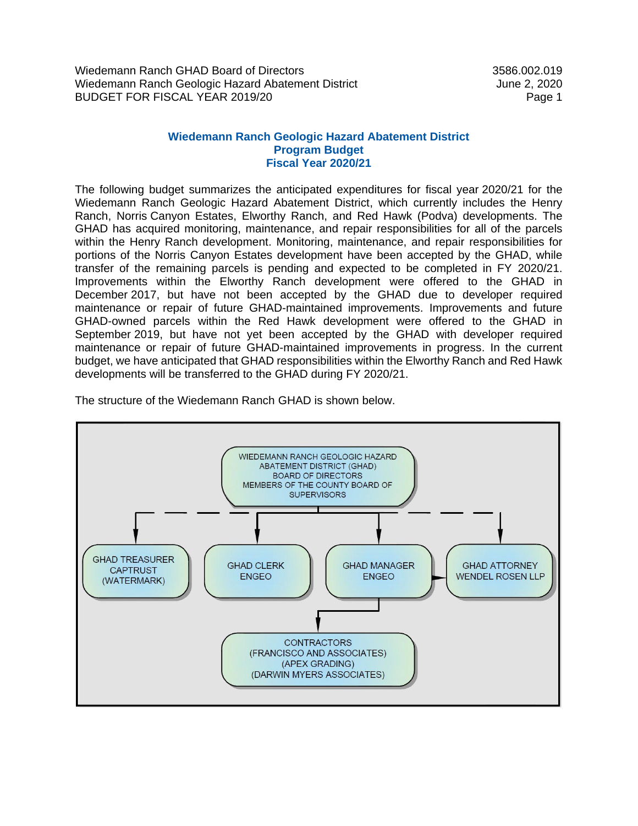Wiedemann Ranch GHAD Board of Directors 3586.002.019 Wiedemann Ranch Geologic Hazard Abatement District Tune 2, 2020 June 2, 2020 BUDGET FOR FISCAL YEAR 2019/20 Page 1

# **Wiedemann Ranch Geologic Hazard Abatement District Program Budget Fiscal Year 2020/21**

The following budget summarizes the anticipated expenditures for fiscal year 2020/21 for the Wiedemann Ranch Geologic Hazard Abatement District, which currently includes the Henry Ranch, Norris Canyon Estates, Elworthy Ranch, and Red Hawk (Podva) developments. The GHAD has acquired monitoring, maintenance, and repair responsibilities for all of the parcels within the Henry Ranch development. Monitoring, maintenance, and repair responsibilities for portions of the Norris Canyon Estates development have been accepted by the GHAD, while transfer of the remaining parcels is pending and expected to be completed in FY 2020/21. Improvements within the Elworthy Ranch development were offered to the GHAD in December 2017, but have not been accepted by the GHAD due to developer required maintenance or repair of future GHAD-maintained improvements. Improvements and future GHAD-owned parcels within the Red Hawk development were offered to the GHAD in September 2019, but have not yet been accepted by the GHAD with developer required maintenance or repair of future GHAD-maintained improvements in progress. In the current budget, we have anticipated that GHAD responsibilities within the Elworthy Ranch and Red Hawk developments will be transferred to the GHAD during FY 2020/21.

The structure of the Wiedemann Ranch GHAD is shown below.

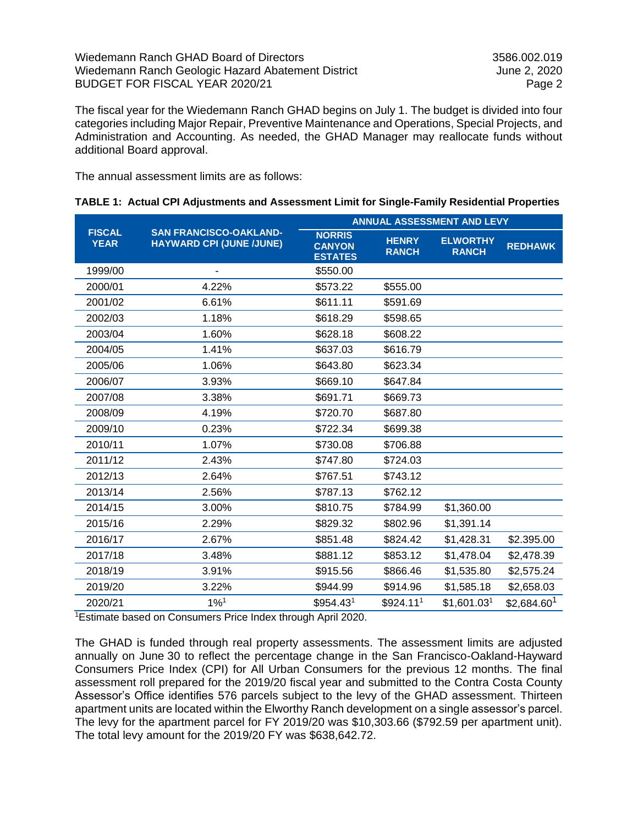The fiscal year for the Wiedemann Ranch GHAD begins on July 1. The budget is divided into four categories including Major Repair, Preventive Maintenance and Operations, Special Projects, and Administration and Accounting. As needed, the GHAD Manager may reallocate funds without additional Board approval.

The annual assessment limits are as follows:

|  |  |  |  |  | TABLE 1: Actual CPI Adjustments and Assessment Limit for Single-Family Residential Properties |
|--|--|--|--|--|-----------------------------------------------------------------------------------------------|
|--|--|--|--|--|-----------------------------------------------------------------------------------------------|

|                              |                                                                  | <b>ANNUAL ASSESSMENT AND LEVY</b>                |                              |                                 |                         |
|------------------------------|------------------------------------------------------------------|--------------------------------------------------|------------------------------|---------------------------------|-------------------------|
| <b>FISCAL</b><br><b>YEAR</b> | <b>SAN FRANCISCO-OAKLAND-</b><br><b>HAYWARD CPI (JUNE /JUNE)</b> | <b>NORRIS</b><br><b>CANYON</b><br><b>ESTATES</b> | <b>HENRY</b><br><b>RANCH</b> | <b>ELWORTHY</b><br><b>RANCH</b> | <b>REDHAWK</b>          |
| 1999/00                      |                                                                  | \$550.00                                         |                              |                                 |                         |
| 2000/01                      | 4.22%                                                            | \$573.22                                         | \$555.00                     |                                 |                         |
| 2001/02                      | 6.61%                                                            | \$611.11                                         | \$591.69                     |                                 |                         |
| 2002/03                      | 1.18%                                                            | \$618.29                                         | \$598.65                     |                                 |                         |
| 2003/04                      | 1.60%                                                            | \$628.18                                         | \$608.22                     |                                 |                         |
| 2004/05                      | 1.41%                                                            | \$637.03                                         | \$616.79                     |                                 |                         |
| 2005/06                      | 1.06%                                                            | \$643.80                                         | \$623.34                     |                                 |                         |
| 2006/07                      | 3.93%                                                            | \$669.10                                         | \$647.84                     |                                 |                         |
| 2007/08                      | 3.38%                                                            | \$691.71                                         | \$669.73                     |                                 |                         |
| 2008/09                      | 4.19%                                                            | \$720.70                                         | \$687.80                     |                                 |                         |
| 2009/10                      | 0.23%                                                            | \$722.34                                         | \$699.38                     |                                 |                         |
| 2010/11                      | 1.07%                                                            | \$730.08                                         | \$706.88                     |                                 |                         |
| 2011/12                      | 2.43%                                                            | \$747.80                                         | \$724.03                     |                                 |                         |
| 2012/13                      | 2.64%                                                            | \$767.51                                         | \$743.12                     |                                 |                         |
| 2013/14                      | 2.56%                                                            | \$787.13                                         | \$762.12                     |                                 |                         |
| 2014/15                      | 3.00%                                                            | \$810.75                                         | \$784.99                     | \$1,360.00                      |                         |
| 2015/16                      | 2.29%                                                            | \$829.32                                         | \$802.96                     | \$1,391.14                      |                         |
| 2016/17                      | 2.67%                                                            | \$851.48                                         | \$824.42                     | \$1,428.31                      | \$2.395.00              |
| 2017/18                      | 3.48%                                                            | \$881.12                                         | \$853.12                     | \$1,478.04                      | \$2,478.39              |
| 2018/19                      | 3.91%                                                            | \$915.56                                         | \$866.46                     | \$1,535.80                      | \$2,575.24              |
| 2019/20                      | 3.22%                                                            | \$944.99                                         | \$914.96                     | \$1,585.18                      | \$2,658.03              |
| 2020/21                      | $1\%$ <sup>1</sup>                                               | \$954.43 <sup>1</sup>                            | \$924.111                    | \$1,601.03 <sup>1</sup>         | \$2,684.60 <sup>1</sup> |

<sup>1</sup>Estimate based on Consumers Price Index through April 2020.

The GHAD is funded through real property assessments. The assessment limits are adjusted annually on June 30 to reflect the percentage change in the San Francisco-Oakland-Hayward Consumers Price Index (CPI) for All Urban Consumers for the previous 12 months. The final assessment roll prepared for the 2019/20 fiscal year and submitted to the Contra Costa County Assessor's Office identifies 576 parcels subject to the levy of the GHAD assessment. Thirteen apartment units are located within the Elworthy Ranch development on a single assessor's parcel. The levy for the apartment parcel for FY 2019/20 was \$10,303.66 (\$792.59 per apartment unit). The total levy amount for the 2019/20 FY was \$638,642.72.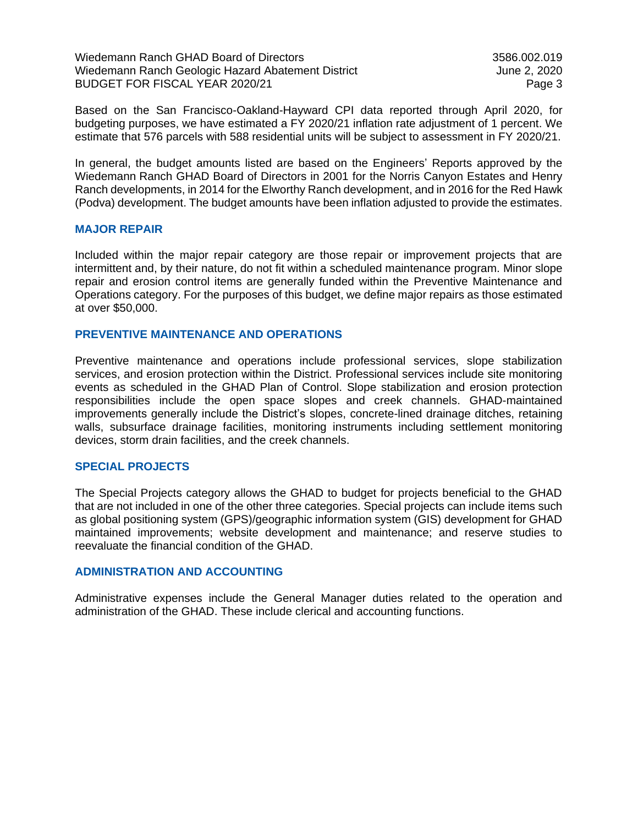Wiedemann Ranch GHAD Board of Directors 3586.002.019 Wiedemann Ranch Geologic Hazard Abatement District Microsoft Current 2, 2020 BUDGET FOR FISCAL YEAR 2020/21 Page 3

Based on the San Francisco-Oakland-Hayward CPI data reported through April 2020, for budgeting purposes, we have estimated a FY 2020/21 inflation rate adjustment of 1 percent. We estimate that 576 parcels with 588 residential units will be subject to assessment in FY 2020/21.

In general, the budget amounts listed are based on the Engineers' Reports approved by the Wiedemann Ranch GHAD Board of Directors in 2001 for the Norris Canyon Estates and Henry Ranch developments, in 2014 for the Elworthy Ranch development, and in 2016 for the Red Hawk (Podva) development. The budget amounts have been inflation adjusted to provide the estimates.

#### **MAJOR REPAIR**

Included within the major repair category are those repair or improvement projects that are intermittent and, by their nature, do not fit within a scheduled maintenance program. Minor slope repair and erosion control items are generally funded within the Preventive Maintenance and Operations category. For the purposes of this budget, we define major repairs as those estimated at over \$50,000.

# **PREVENTIVE MAINTENANCE AND OPERATIONS**

Preventive maintenance and operations include professional services, slope stabilization services, and erosion protection within the District. Professional services include site monitoring events as scheduled in the GHAD Plan of Control. Slope stabilization and erosion protection responsibilities include the open space slopes and creek channels. GHAD-maintained improvements generally include the District's slopes, concrete-lined drainage ditches, retaining walls, subsurface drainage facilities, monitoring instruments including settlement monitoring devices, storm drain facilities, and the creek channels.

#### **SPECIAL PROJECTS**

The Special Projects category allows the GHAD to budget for projects beneficial to the GHAD that are not included in one of the other three categories. Special projects can include items such as global positioning system (GPS)/geographic information system (GIS) development for GHAD maintained improvements; website development and maintenance; and reserve studies to reevaluate the financial condition of the GHAD.

### **ADMINISTRATION AND ACCOUNTING**

Administrative expenses include the General Manager duties related to the operation and administration of the GHAD. These include clerical and accounting functions.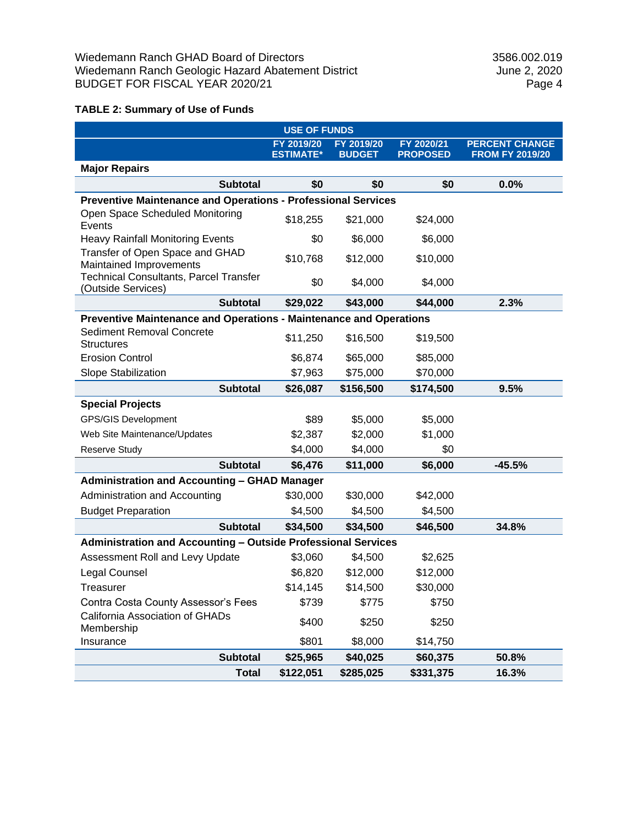# **TABLE 2: Summary of Use of Funds**

| <b>USE OF FUNDS</b>                                                  |                                |                             |                               |                                                 |  |  |
|----------------------------------------------------------------------|--------------------------------|-----------------------------|-------------------------------|-------------------------------------------------|--|--|
|                                                                      | FY 2019/20<br><b>ESTIMATE*</b> | FY 2019/20<br><b>BUDGET</b> | FY 2020/21<br><b>PROPOSED</b> | <b>PERCENT CHANGE</b><br><b>FROM FY 2019/20</b> |  |  |
| <b>Major Repairs</b>                                                 |                                |                             |                               |                                                 |  |  |
| <b>Subtotal</b>                                                      | \$0                            | \$0                         | \$0                           | 0.0%                                            |  |  |
| <b>Preventive Maintenance and Operations - Professional Services</b> |                                |                             |                               |                                                 |  |  |
| Open Space Scheduled Monitoring<br>Events                            | \$18,255                       | \$21,000                    | \$24,000                      |                                                 |  |  |
| <b>Heavy Rainfall Monitoring Events</b>                              | \$0                            | \$6,000                     | \$6,000                       |                                                 |  |  |
| Transfer of Open Space and GHAD<br>Maintained Improvements           | \$10,768                       | \$12,000                    | \$10,000                      |                                                 |  |  |
| <b>Technical Consultants, Parcel Transfer</b><br>(Outside Services)  | \$0                            | \$4,000                     | \$4,000                       |                                                 |  |  |
| <b>Subtotal</b>                                                      | \$29,022                       | \$43,000                    | \$44,000                      | 2.3%                                            |  |  |
| Preventive Maintenance and Operations - Maintenance and Operations   |                                |                             |                               |                                                 |  |  |
| Sediment Removal Concrete<br><b>Structures</b>                       | \$11,250                       | \$16,500                    | \$19,500                      |                                                 |  |  |
| <b>Erosion Control</b>                                               | \$6,874                        | \$65,000                    | \$85,000                      |                                                 |  |  |
| Slope Stabilization                                                  | \$7,963                        | \$75,000                    | \$70,000                      |                                                 |  |  |
| <b>Subtotal</b>                                                      | \$26,087                       | \$156,500                   | \$174,500                     | 9.5%                                            |  |  |
| <b>Special Projects</b>                                              |                                |                             |                               |                                                 |  |  |
| <b>GPS/GIS Development</b>                                           | \$89                           | \$5,000                     | \$5,000                       |                                                 |  |  |
| Web Site Maintenance/Updates                                         | \$2,387                        | \$2,000                     | \$1,000                       |                                                 |  |  |
| Reserve Study                                                        | \$4,000                        | \$4,000                     | \$0                           |                                                 |  |  |
| <b>Subtotal</b>                                                      | \$6,476                        | \$11,000                    | \$6,000                       | $-45.5%$                                        |  |  |
| <b>Administration and Accounting - GHAD Manager</b>                  |                                |                             |                               |                                                 |  |  |
| Administration and Accounting                                        | \$30,000                       | \$30,000                    | \$42,000                      |                                                 |  |  |
| <b>Budget Preparation</b>                                            | \$4,500                        | \$4,500                     | \$4,500                       |                                                 |  |  |
| <b>Subtotal</b>                                                      | \$34,500                       | \$34,500                    | \$46,500                      | 34.8%                                           |  |  |
| Administration and Accounting - Outside Professional Services        |                                |                             |                               |                                                 |  |  |
| Assessment Roll and Levy Update                                      | \$3,060                        | \$4,500                     | \$2,625                       |                                                 |  |  |
| Legal Counsel                                                        | \$6,820                        | \$12,000                    | \$12,000                      |                                                 |  |  |
| Treasurer                                                            | \$14,145                       | \$14,500                    | \$30,000                      |                                                 |  |  |
| Contra Costa County Assessor's Fees                                  | \$739                          | \$775                       | \$750                         |                                                 |  |  |
| California Association of GHADs<br>Membership                        | \$400                          | \$250                       | \$250                         |                                                 |  |  |
| Insurance                                                            | \$801                          | \$8,000                     | \$14,750                      |                                                 |  |  |
| <b>Subtotal</b>                                                      | \$25,965                       | \$40,025                    | \$60,375                      | 50.8%                                           |  |  |
| <b>Total</b>                                                         | \$122,051                      | \$285,025                   | \$331,375                     | 16.3%                                           |  |  |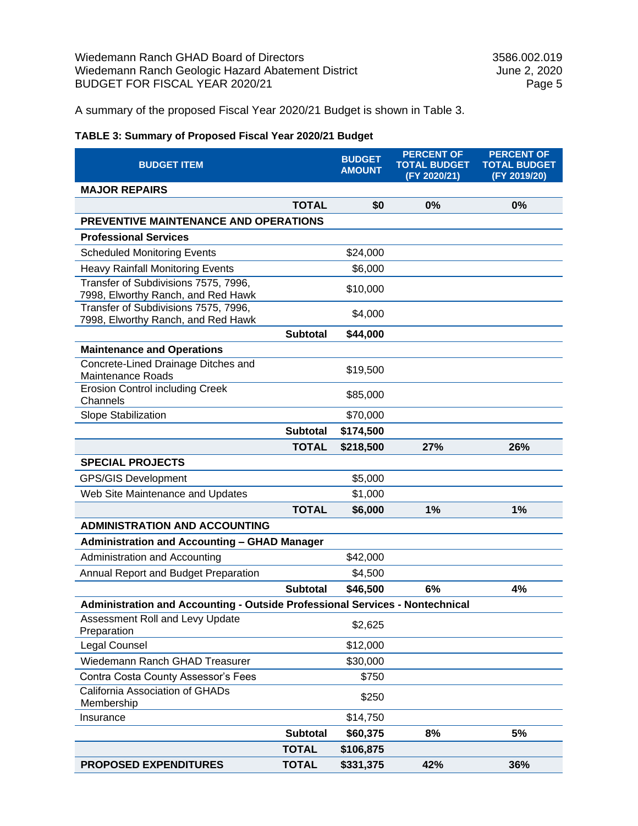A summary of the proposed Fiscal Year 2020/21 Budget is shown in Table 3.

# **TABLE 3: Summary of Proposed Fiscal Year 2020/21 Budget**

| <b>BUDGET ITEM</b>                                                           |                 | <b>BUDGET</b><br><b>AMOUNT</b> | <b>PERCENT OF</b><br><b>TOTAL BUDGET</b><br>(FY 2020/21) | <b>PERCENT OF</b><br><b>TOTAL BUDGET</b><br>(FY 2019/20) |  |  |
|------------------------------------------------------------------------------|-----------------|--------------------------------|----------------------------------------------------------|----------------------------------------------------------|--|--|
| <b>MAJOR REPAIRS</b>                                                         |                 |                                |                                                          |                                                          |  |  |
|                                                                              | <b>TOTAL</b>    | \$0                            | 0%                                                       | 0%                                                       |  |  |
| <b>PREVENTIVE MAINTENANCE AND OPERATIONS</b>                                 |                 |                                |                                                          |                                                          |  |  |
| <b>Professional Services</b>                                                 |                 |                                |                                                          |                                                          |  |  |
| <b>Scheduled Monitoring Events</b>                                           |                 | \$24,000                       |                                                          |                                                          |  |  |
| <b>Heavy Rainfall Monitoring Events</b>                                      |                 | \$6,000                        |                                                          |                                                          |  |  |
| Transfer of Subdivisions 7575, 7996,<br>7998, Elworthy Ranch, and Red Hawk   |                 | \$10,000                       |                                                          |                                                          |  |  |
| Transfer of Subdivisions 7575, 7996,<br>7998, Elworthy Ranch, and Red Hawk   |                 | \$4,000                        |                                                          |                                                          |  |  |
|                                                                              | <b>Subtotal</b> | \$44,000                       |                                                          |                                                          |  |  |
| <b>Maintenance and Operations</b>                                            |                 |                                |                                                          |                                                          |  |  |
| Concrete-Lined Drainage Ditches and<br><b>Maintenance Roads</b>              |                 | \$19,500                       |                                                          |                                                          |  |  |
| <b>Erosion Control including Creek</b><br>Channels                           |                 | \$85,000                       |                                                          |                                                          |  |  |
| Slope Stabilization                                                          |                 | \$70,000                       |                                                          |                                                          |  |  |
|                                                                              | <b>Subtotal</b> | \$174,500                      |                                                          |                                                          |  |  |
|                                                                              | <b>TOTAL</b>    | \$218,500                      | 27%                                                      | 26%                                                      |  |  |
| <b>SPECIAL PROJECTS</b>                                                      |                 |                                |                                                          |                                                          |  |  |
| <b>GPS/GIS Development</b>                                                   |                 | \$5,000                        |                                                          |                                                          |  |  |
| Web Site Maintenance and Updates                                             |                 | \$1,000                        |                                                          |                                                          |  |  |
|                                                                              | <b>TOTAL</b>    | \$6,000                        | 1%                                                       | 1%                                                       |  |  |
| <b>ADMINISTRATION AND ACCOUNTING</b>                                         |                 |                                |                                                          |                                                          |  |  |
| <b>Administration and Accounting - GHAD Manager</b>                          |                 |                                |                                                          |                                                          |  |  |
| Administration and Accounting                                                |                 | \$42,000                       |                                                          |                                                          |  |  |
| Annual Report and Budget Preparation                                         |                 | \$4,500                        |                                                          |                                                          |  |  |
|                                                                              | <b>Subtotal</b> | \$46,500                       | 6%                                                       | 4%                                                       |  |  |
| Administration and Accounting - Outside Professional Services - Nontechnical |                 |                                |                                                          |                                                          |  |  |
| Assessment Roll and Levy Update<br>Preparation                               |                 | \$2,625                        |                                                          |                                                          |  |  |
| Legal Counsel                                                                |                 | \$12,000                       |                                                          |                                                          |  |  |
| Wiedemann Ranch GHAD Treasurer                                               |                 | \$30,000                       |                                                          |                                                          |  |  |
| Contra Costa County Assessor's Fees                                          |                 | \$750                          |                                                          |                                                          |  |  |
| California Association of GHADs<br>Membership                                |                 | \$250                          |                                                          |                                                          |  |  |
| Insurance                                                                    |                 | \$14,750                       |                                                          |                                                          |  |  |
|                                                                              | <b>Subtotal</b> | \$60,375                       | 8%                                                       | 5%                                                       |  |  |
|                                                                              | <b>TOTAL</b>    | \$106,875                      |                                                          |                                                          |  |  |
| <b>PROPOSED EXPENDITURES</b>                                                 | <b>TOTAL</b>    | \$331,375                      | 42%                                                      | 36%                                                      |  |  |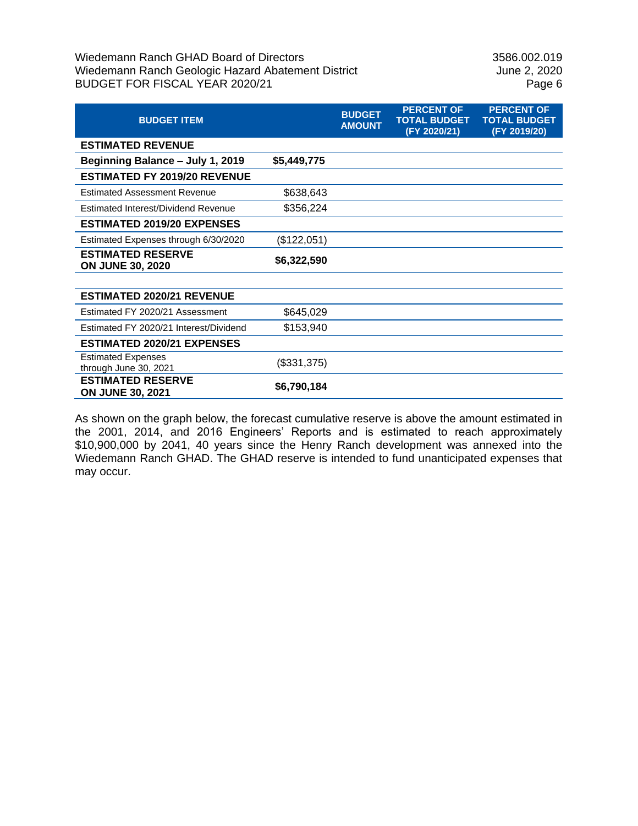# Wiedemann Ranch GHAD Board of Directors<br>
Wiedemann Ranch Geologic Hazard Abatement District<br>
Uune 2, 2020 Wiedemann Ranch Geologic Hazard Abatement District BUDGET FOR FISCAL YEAR 2020/21 Page 6

| <b>BUDGET ITEM</b>                                  |             | <b>BUDGET</b><br><b>AMOUNT</b> | <b>PERCENT OF</b><br><b>TOTAL BUDGET</b><br>(FY 2020/21) | <b>PERCENT OF</b><br><b>TOTAL BUDGET</b><br>(FY 2019/20) |
|-----------------------------------------------------|-------------|--------------------------------|----------------------------------------------------------|----------------------------------------------------------|
| <b>ESTIMATED REVENUE</b>                            |             |                                |                                                          |                                                          |
| Beginning Balance - July 1, 2019                    | \$5,449,775 |                                |                                                          |                                                          |
| <b>ESTIMATED FY 2019/20 REVENUE</b>                 |             |                                |                                                          |                                                          |
| <b>Estimated Assessment Revenue</b>                 | \$638,643   |                                |                                                          |                                                          |
| Estimated Interest/Dividend Revenue                 | \$356,224   |                                |                                                          |                                                          |
| <b>ESTIMATED 2019/20 EXPENSES</b>                   |             |                                |                                                          |                                                          |
| Estimated Expenses through 6/30/2020                | (\$122,051) |                                |                                                          |                                                          |
| <b>ESTIMATED RESERVE</b><br><b>ON JUNE 30, 2020</b> | \$6,322,590 |                                |                                                          |                                                          |
|                                                     |             |                                |                                                          |                                                          |
| <b>ESTIMATED 2020/21 REVENUE</b>                    |             |                                |                                                          |                                                          |
| Estimated FY 2020/21 Assessment                     | \$645,029   |                                |                                                          |                                                          |
| Estimated FY 2020/21 Interest/Dividend              | \$153,940   |                                |                                                          |                                                          |
| <b>ESTIMATED 2020/21 EXPENSES</b>                   |             |                                |                                                          |                                                          |
| <b>Estimated Expenses</b><br>through June 30, 2021  | (\$331,375) |                                |                                                          |                                                          |
| <b>ESTIMATED RESERVE</b><br><b>ON JUNE 30, 2021</b> | \$6,790,184 |                                |                                                          |                                                          |

As shown on the graph below, the forecast cumulative reserve is above the amount estimated in the 2001, 2014, and 2016 Engineers' Reports and is estimated to reach approximately \$10,900,000 by 2041, 40 years since the Henry Ranch development was annexed into the Wiedemann Ranch GHAD. The GHAD reserve is intended to fund unanticipated expenses that may occur.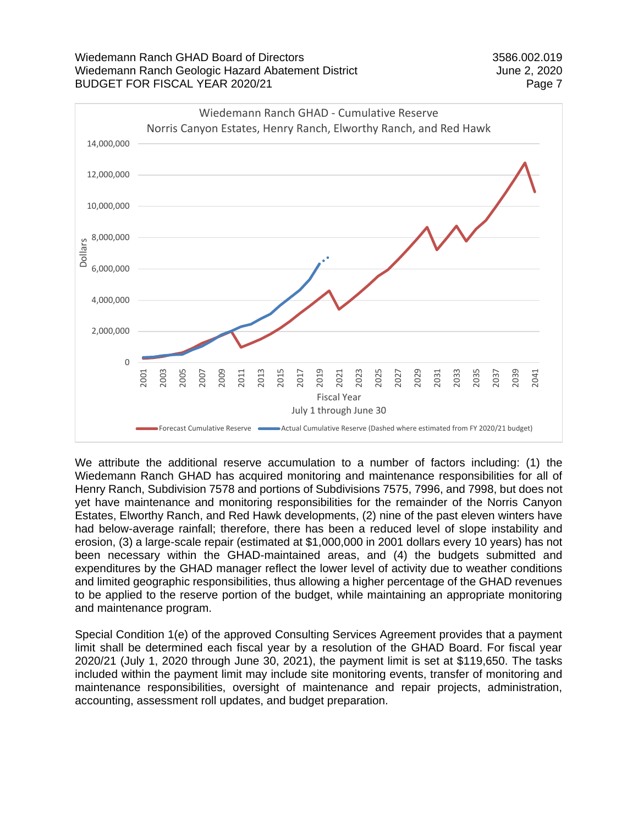



We attribute the additional reserve accumulation to a number of factors including: (1) the Wiedemann Ranch GHAD has acquired monitoring and maintenance responsibilities for all of Henry Ranch, Subdivision 7578 and portions of Subdivisions 7575, 7996, and 7998, but does not yet have maintenance and monitoring responsibilities for the remainder of the Norris Canyon Estates, Elworthy Ranch, and Red Hawk developments, (2) nine of the past eleven winters have had below-average rainfall; therefore, there has been a reduced level of slope instability and erosion, (3) a large-scale repair (estimated at \$1,000,000 in 2001 dollars every 10 years) has not been necessary within the GHAD-maintained areas, and (4) the budgets submitted and expenditures by the GHAD manager reflect the lower level of activity due to weather conditions and limited geographic responsibilities, thus allowing a higher percentage of the GHAD revenues to be applied to the reserve portion of the budget, while maintaining an appropriate monitoring and maintenance program.

Special Condition 1(e) of the approved Consulting Services Agreement provides that a payment limit shall be determined each fiscal year by a resolution of the GHAD Board. For fiscal year 2020/21 (July 1, 2020 through June 30, 2021), the payment limit is set at \$119,650. The tasks included within the payment limit may include site monitoring events, transfer of monitoring and maintenance responsibilities, oversight of maintenance and repair projects, administration, accounting, assessment roll updates, and budget preparation.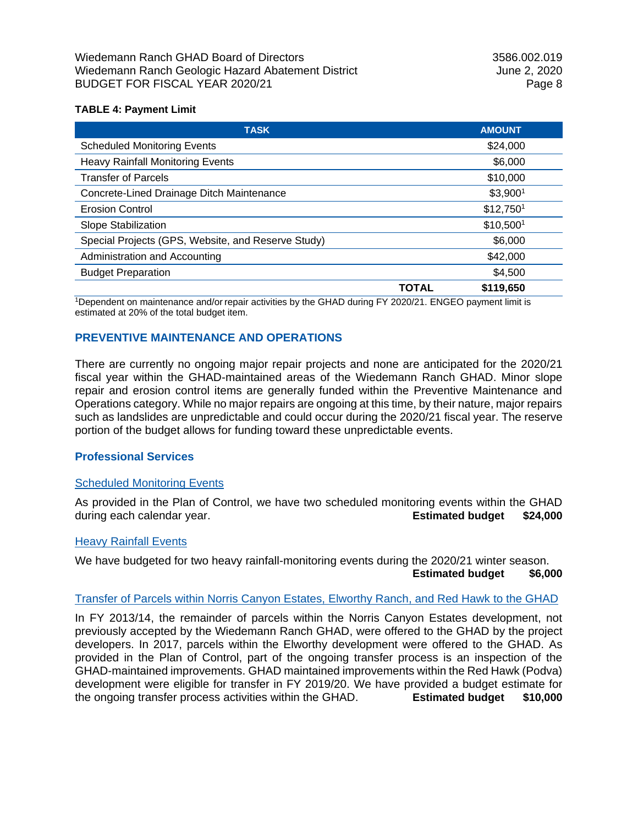## **TABLE 4: Payment Limit**

| <b>TASK</b>                                        |       | <b>AMOUNT</b>         |
|----------------------------------------------------|-------|-----------------------|
| <b>Scheduled Monitoring Events</b>                 |       | \$24,000              |
| <b>Heavy Rainfall Monitoring Events</b>            |       | \$6,000               |
| <b>Transfer of Parcels</b>                         |       | \$10,000              |
| Concrete-Lined Drainage Ditch Maintenance          |       | \$3,900 <sup>1</sup>  |
| <b>Erosion Control</b>                             |       | \$12,750 <sup>1</sup> |
| Slope Stabilization                                |       | \$10,5001             |
| Special Projects (GPS, Website, and Reserve Study) |       | \$6,000               |
| Administration and Accounting                      |       | \$42,000              |
| <b>Budget Preparation</b>                          |       | \$4,500               |
|                                                    | TOTAL | \$119,650             |

<sup>1</sup>Dependent on maintenance and/or repair activities by the GHAD during FY 2020/21. ENGEO payment limit is estimated at 20% of the total budget item.

# **PREVENTIVE MAINTENANCE AND OPERATIONS**

There are currently no ongoing major repair projects and none are anticipated for the 2020/21 fiscal year within the GHAD-maintained areas of the Wiedemann Ranch GHAD. Minor slope repair and erosion control items are generally funded within the Preventive Maintenance and Operations category. While no major repairs are ongoing at this time, by their nature, major repairs such as landslides are unpredictable and could occur during the 2020/21 fiscal year. The reserve portion of the budget allows for funding toward these unpredictable events.

### **Professional Services**

### Scheduled Monitoring Events

As provided in the Plan of Control, we have two scheduled monitoring events within the GHAD during each calendar year. **Estimated budget \$24,000**

### Heavy Rainfall Events

We have budgeted for two heavy rainfall-monitoring events during the 2020/21 winter season.

**Estimated budget \$6,000**

### Transfer of Parcels within Norris Canyon Estates, Elworthy Ranch, and Red Hawk to the GHAD

In FY 2013/14, the remainder of parcels within the Norris Canyon Estates development, not previously accepted by the Wiedemann Ranch GHAD, were offered to the GHAD by the project developers. In 2017, parcels within the Elworthy development were offered to the GHAD. As provided in the Plan of Control, part of the ongoing transfer process is an inspection of the GHAD-maintained improvements. GHAD maintained improvements within the Red Hawk (Podva) development were eligible for transfer in FY 2019/20. We have provided a budget estimate for the ongoing transfer process activities within the GHAD. **Estimated budget \$10,000**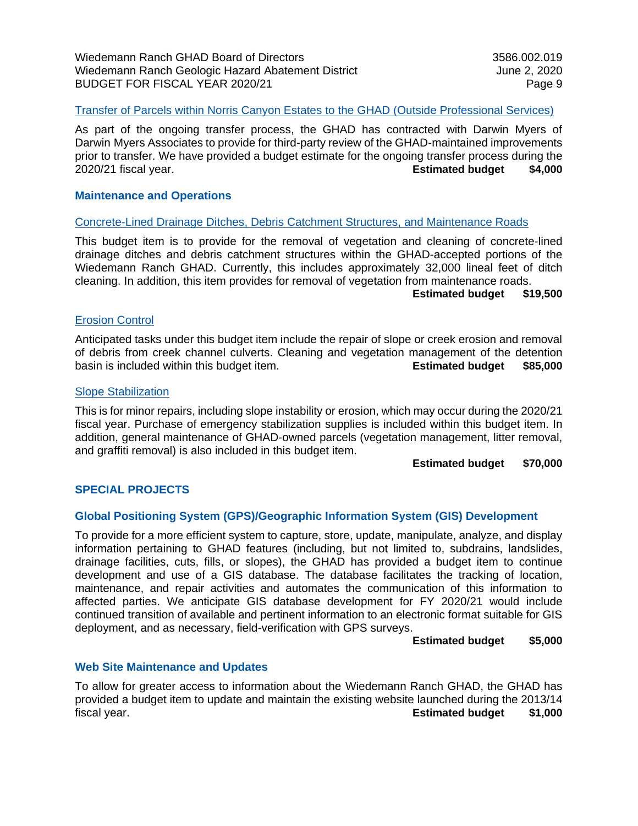## Transfer of Parcels within Norris Canyon Estates to the GHAD (Outside Professional Services)

As part of the ongoing transfer process, the GHAD has contracted with Darwin Myers of Darwin Myers Associates to provide for third-party review of the GHAD-maintained improvements prior to transfer. We have provided a budget estimate for the ongoing transfer process during the 2020/21 fiscal year. **Estimated budget \$4,000**

### **Maintenance and Operations**

#### Concrete-Lined Drainage Ditches, Debris Catchment Structures, and Maintenance Roads

This budget item is to provide for the removal of vegetation and cleaning of concrete-lined drainage ditches and debris catchment structures within the GHAD-accepted portions of the Wiedemann Ranch GHAD. Currently, this includes approximately 32,000 lineal feet of ditch cleaning. In addition, this item provides for removal of vegetation from maintenance roads.

#### **Estimated budget \$19,500**

### Erosion Control

Anticipated tasks under this budget item include the repair of slope or creek erosion and removal of debris from creek channel culverts. Cleaning and vegetation management of the detention basin is included within this budget item. **Estimated budget \$85,000**

#### Slope Stabilization

This is for minor repairs, including slope instability or erosion, which may occur during the 2020/21 fiscal year. Purchase of emergency stabilization supplies is included within this budget item. In addition, general maintenance of GHAD-owned parcels (vegetation management, litter removal, and graffiti removal) is also included in this budget item.

#### **Estimated budget \$70,000**

### **SPECIAL PROJECTS**

### **Global Positioning System (GPS)/Geographic Information System (GIS) Development**

To provide for a more efficient system to capture, store, update, manipulate, analyze, and display information pertaining to GHAD features (including, but not limited to, subdrains, landslides, drainage facilities, cuts, fills, or slopes), the GHAD has provided a budget item to continue development and use of a GIS database. The database facilitates the tracking of location, maintenance, and repair activities and automates the communication of this information to affected parties. We anticipate GIS database development for FY 2020/21 would include continued transition of available and pertinent information to an electronic format suitable for GIS deployment, and as necessary, field-verification with GPS surveys.

### **Estimated budget \$5,000**

### **Web Site Maintenance and Updates**

To allow for greater access to information about the Wiedemann Ranch GHAD, the GHAD has provided a budget item to update and maintain the existing website launched during the 2013/14 fiscal year. **Estimated budget \$1,000**